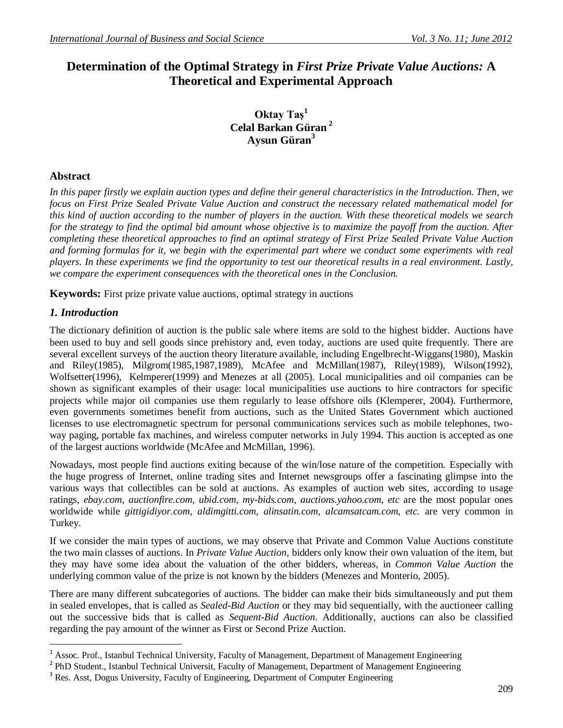# **Determination of the Optimal Strategy in** *First Prize Private Value Auctions:* **A Theoretical and Experimental Approach**

**Oktay Taş<sup>1</sup> Celal Barkan Güran <sup>2</sup> Aysun Güran<sup>3</sup>**

# **Abstract**

*In this paper firstly we explain auction types and define their general characteristics in the Introduction. Then, we focus on First Prize Sealed Private Value Auction and construct the necessary related mathematical model for this kind of auction according to the number of players in the auction. With these theoretical models we search for the strategy to find the optimal bid amount whose objective is to maximize the payoff from the auction. After completing these theoretical approaches to find an optimal strategy of First Prize Sealed Private Value Auction and forming formulas for it, we begin with the experimental part where we conduct some experiments with real players. In these experiments we find the opportunity to test our theoretical results in a real environment. Lastly, we compare the experiment consequences with the theoretical ones in the Conclusion.* 

**Keywords:** First prize private value auctions, optimal strategy in auctions

# *1. Introduction*

 $\overline{a}$ 

The dictionary definition of auction is the public sale where items are sold to the highest bidder. Auctions have been used to buy and sell goods since prehistory and, even today, auctions are used quite frequently. There are several excellent surveys of the auction theory literature available, including Engelbrecht-Wiggans(1980), Maskin and Riley(1985), Milgrom(1985,1987,1989), McAfee and McMillan(1987), Riley(1989), Wilson(1992), Wolfsetter(1996), Kelmperer(1999) and Menezes at all (2005). Local municipalities and oil companies can be shown as significant examples of their usage: local municipalities use auctions to hire contractors for specific projects while major oil companies use them regularly to lease offshore oils (Klemperer, 2004). Furthermore, even governments sometimes benefit from auctions, such as the United States Government which auctioned licenses to use electromagnetic spectrum for personal communications services such as mobile telephones, twoway paging, portable fax machines, and wireless computer networks in July 1994. This auction is accepted as one of the largest auctions worldwide (McAfee and McMillan, 1996).

Nowadays, most people find auctions exiting because of the win/lose nature of the competition. Especially with the huge progress of Internet, online trading sites and Internet newsgroups offer a fascinating glimpse into the various ways that collectibles can be sold at auctions. As examples of auction web sites, according to usage ratings, *ebay.com, auctionfire.com, ubid.com, my-bids.com, auctions.yahoo.com, etc* are the most popular ones worldwide while *gittigidiyor.com, aldimgitti.com, alinsatin.com, alcamsatcam.com, etc.* are very common in Turkey.

If we consider the main types of auctions, we may observe that Private and Common Value Auctions constitute the two main classes of auctions. In *Private Value Auction,* bidders only know their own valuation of the item, but they may have some idea about the valuation of the other bidders, whereas, in *Common Value Auction* the underlying common value of the prize is not known by the bidders (Menezes and Monterio, 2005).

There are many different subcategories of auctions. The bidder can make their bids simultaneously and put them in sealed envelopes, that is called as *Sealed-Bid Auction* or they may bid sequentially, with the auctioneer calling out the successive bids that is called as *Sequent-Bid Auction*. Additionally, auctions can also be classified regarding the pay amount of the winner as First or Second Prize Auction.

<sup>&</sup>lt;sup>1</sup> Assoc. Prof., Istanbul Technical University, Faculty of Management, Department of Management Engineering

<sup>&</sup>lt;sup>2</sup> PhD Student., Istanbul Technical Universit, Faculty of Management, Department of Management Engineering

<sup>&</sup>lt;sup>3</sup> Res. Asst, Dogus University, Faculty of Engineering, Department of Computer Engineering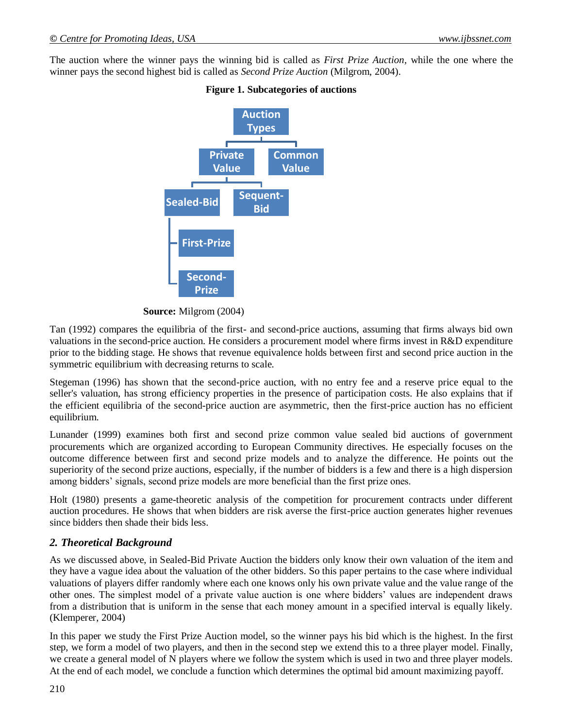The auction where the winner pays the winning bid is called as *First Prize Auction,* while the one where the winner pays the second highest bid is called as *Second Prize Auction* (Milgrom, 2004).



#### **Figure 1. Subcategories of auctions**

 **Source:** Milgrom (2004)

Tan (1992) compares the equilibria of the first- and second-price auctions, assuming that firms always bid own valuations in the second-price auction. He considers a procurement model where firms invest in R&D expenditure prior to the bidding stage. He shows that revenue equivalence holds between first and second price auction in the symmetric equilibrium with decreasing returns to scale.

Stegeman (1996) has shown that the second-price auction, with no entry fee and a reserve price equal to the seller's valuation, has strong efficiency properties in the presence of participation costs. He also explains that if the efficient equilibria of the second-price auction are asymmetric, then the first-price auction has no efficient equilibrium.

Lunander (1999) examines both first and second prize common value sealed bid auctions of government procurements which are organized according to European Community directives. He especially focuses on the outcome difference between first and second prize models and to analyze the difference. He points out the superiority of the second prize auctions, especially, if the number of bidders is a few and there is a high dispersion among bidders' signals, second prize models are more beneficial than the first prize ones.

Holt (1980) presents a game-theoretic analysis of the competition for procurement contracts under different auction procedures. He shows that when bidders are risk averse the first-price auction generates higher revenues since bidders then shade their bids less.

## *2. Theoretical Background*

As we discussed above, in Sealed-Bid Private Auction the bidders only know their own valuation of the item and they have a vague idea about the valuation of the other bidders. So this paper pertains to the case where individual valuations of players differ randomly where each one knows only his own private value and the value range of the other ones. The simplest model of a private value auction is one where bidders' values are independent draws from a distribution that is uniform in the sense that each money amount in a specified interval is equally likely. (Klemperer, 2004)

In this paper we study the First Prize Auction model, so the winner pays his bid which is the highest. In the first step, we form a model of two players, and then in the second step we extend this to a three player model. Finally, we create a general model of N players where we follow the system which is used in two and three player models. At the end of each model, we conclude a function which determines the optimal bid amount maximizing payoff.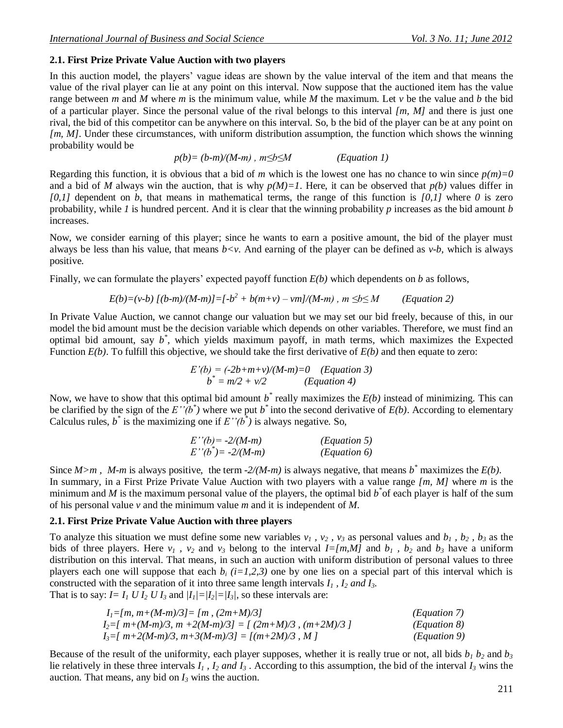## **2.1. First Prize Private Value Auction with two players**

In this auction model, the players' vague ideas are shown by the value interval of the item and that means the value of the rival player can lie at any point on this interval. Now suppose that the auctioned item has the value range between *m* and *M* where *m* is the minimum value, while *M* the maximum. Let *v* be the value and *b* the bid of a particular player. Since the personal value of the rival belongs to this interval *[m, M]* and there is just one rival, the bid of this competitor can be anywhere on this interval. So, b the bid of the player can be at any point on *[m, M]*. Under these circumstances, with uniform distribution assumption, the function which shows the winning probability would be

$$
p(b) = (b-m)/(M-m), m \leq b \leq M
$$
 (Equation 1)

Regarding this function, it is obvious that a bid of *m* which is the lowest one has no chance to win since  $p(m)=0$ and a bid of *M* always win the auction, that is why  $p(M)=1$ . Here, it can be observed that  $p(b)$  values differ in  $[0,1]$  dependent on *b*, that means in mathematical terms, the range of this function is  $[0,1]$  where 0 is zero probability, while *1* is hundred percent. And it is clear that the winning probability *p* increases as the bid amount *b* increases.

Now, we consider earning of this player; since he wants to earn a positive amount, the bid of the player must always be less than his value, that means  $b \lt v$ . And earning of the player can be defined as  $v-b$ , which is always positive.

Finally, we can formulate the players' expected payoff function *E(b)* which dependents on *b* as follows,

$$
E(b)=(v-b)\left[(b-m)/(M-m)\right]=\left[-b^2+b(m+v)-vm\right]/(M-m),\ m\leq b\leq M
$$
 (Equation 2)

In Private Value Auction, we cannot change our valuation but we may set our bid freely, because of this, in our model the bid amount must be the decision variable which depends on other variables. Therefore, we must find an optimal bid amount, say *b \** , which yields maximum payoff, in math terms, which maximizes the Expected Function *E(b)*. To fulfill this objective, we should take the first derivative of *E(b)* and then equate to zero:

$$
E'(b) = (-2b+m+v)/(M-m) = 0
$$
 (Equation 3)  

$$
b^* = m/2 + v/2
$$
 (Equation 4)

Now, we have to show that this optimal bid amount  $b^*$  really maximizes the  $E(b)$  instead of minimizing. This can be clarified by the sign of the  $E''(b^*)$  where we put  $b^*$  into the second derivative of  $E(b)$ . According to elementary Calculus rules,  $b^*$  is the maximizing one if  $E''(b^*)$  is always negative. So,

| $E''(b) = -2/(M-m)$   | (Equation 5) |
|-----------------------|--------------|
| $E''(b^*) = -2/(M-m)$ | (Equation 6) |

Since  $M>m$ , M-m is always positive, the term  $-2/(M-m)$  is always negative, that means  $b^*$  maximizes the  $E(b)$ . In summary, in a First Prize Private Value Auction with two players with a value range *[m, M]* where *m* is the minimum and *M* is the maximum personal value of the players, the optimal bid  $b^*$  of each player is half of the sum of his personal value *v* and the minimum value *m* and it is independent of *M*.

### **2.1. First Prize Private Value Auction with three players**

To analyze this situation we must define some new variables  $v_1$ ,  $v_2$ ,  $v_3$  as personal values and  $b_1$ ,  $b_2$ ,  $b_3$  as the bids of three players. Here  $v_1$ ,  $v_2$  and  $v_3$  belong to the interval  $I=[m,M]$  and  $b_1$ ,  $b_2$  and  $b_3$  have a uniform distribution on this interval. That means, in such an auction with uniform distribution of personal values to three players each one will suppose that each  $b_i$   $(i=1,2,3)$  one by one lies on a special part of this interval which is constructed with the separation of it into three same length intervals  $I_1$ ,  $I_2$  *and*  $I_3$ . That is to say:  $I = I_1 \cup I_2 \cup I_3$  and  $|I_1| = |I_2| = |I_3|$ , so these intervals are:

| $I_1=[m, m+(M-m)/3]=[m, (2m+M)/3]$                                       | ( <i>Equation 7</i> ) |
|--------------------------------------------------------------------------|-----------------------|
| $I_2 = [m+(M-m)/3, m+2(M-m)/3] = [2m+M)/3, (m+2M)/3]$                    | ( <i>Equation 8</i> ) |
| $I_3 = \lceil m+2(M-m)/3, m+3(M-m)/3 \rceil = \lceil (m+2M)/3, M \rceil$ | (Equation 9)          |

Because of the result of the uniformity, each player supposes, whether it is really true or not, all bids  $b_1$   $b_2$  and  $b_3$ lie relatively in these three intervals  $I_1$ ,  $I_2$  *and*  $I_3$ . According to this assumption, the bid of the interval  $I_3$  wins the auction. That means, any bid on  $I_3$  wins the auction.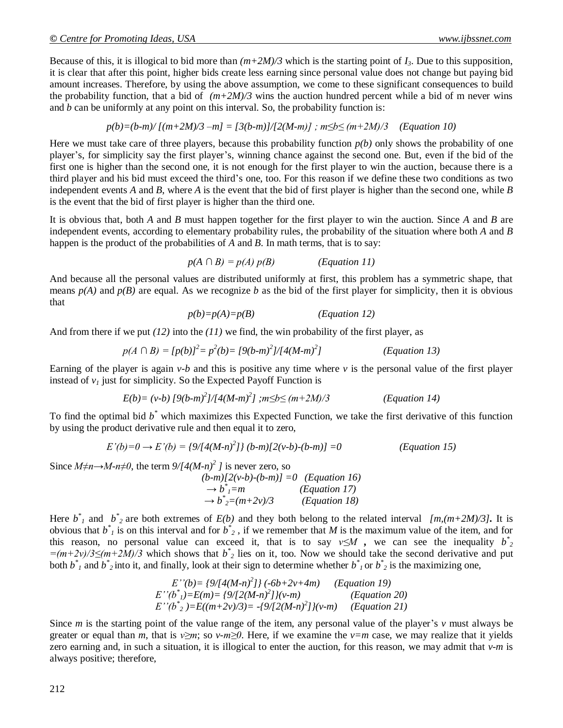Because of this, it is illogical to bid more than  $(m+2M)/3$  which is the starting point of  $I_3$ . Due to this supposition, it is clear that after this point, higher bids create less earning since personal value does not change but paying bid amount increases. Therefore, by using the above assumption, we come to these significant consequences to build the probability function, that a bid of  $(m+2M)/3$  wins the auction hundred percent while a bid of m never wins and *b* can be uniformly at any point on this interval. So, the probability function is:

$$
p(b)=(b-m)/[(m+2M)/3-m]=[3(b-m)]/[2(M-m)]
$$
;  $m \le b \le (m+2M)/3$  (Equation 10)

Here we must take care of three players, because this probability function  $p(b)$  only shows the probability of one player's, for simplicity say the first player's, winning chance against the second one. But, even if the bid of the first one is higher than the second one, it is not enough for the first player to win the auction, because there is a third player and his bid must exceed the third's one, too. For this reason if we define these two conditions as two independent events *A* and *B*, where *A* is the event that the bid of first player is higher than the second one, while *B* is the event that the bid of first player is higher than the third one.

It is obvious that, both *A* and *B* must happen together for the first player to win the auction. Since *A* and *B* are independent events, according to elementary probability rules, the probability of the situation where both *A* and *B* happen is the product of the probabilities of *A* and *B*. In math terms, that is to say:

 $p(A \cap B) = p(A) p(B)$  *(Equation 11)* 

And because all the personal values are distributed uniformly at first, this problem has a symmetric shape, that means  $p(A)$  and  $p(B)$  are equal. As we recognize *b* as the bid of the first player for simplicity, then it is obvious that

$$
p(b)=p(A)=p(B) \t\t (Equation 12)
$$

And from there if we put *(12)* into the *(11)* we find, the win probability of the first player, as

$$
p(A \cap B) = [p(b)]^2 = p^2(b) = [9(b-m)^2]/[4(M-m)^2]
$$
 (Equation 13)

Earning of the player is again  $v-b$  and this is positive any time where  $v$  is the personal value of the first player instead of  $v_I$  just for simplicity. So the Expected Payoff Function is

$$
E(b) = (v-b) [9(b-m)^{2}]/[4(M-m)^{2}] ; m \le b \le (m+2M)/3
$$
 (Equation 14)

To find the optimal bid *b \** which maximizes this Expected Function, we take the first derivative of this function by using the product derivative rule and then equal it to zero,

$$
E'(b)=0 \to E'(b) = \{9/[4(M-n)^{2}]\} (b-m)[2(v-b)-(b-m)] = 0
$$
 (Equation 15)

Since  $M \neq n \rightarrow M \cdot n \neq 0$ , the term  $9/[4(M-n)^2]$  is never zero, so

$$
(b-m)[2(v-b)-(b-m)] = 0
$$
 (Equation 16)  
\n
$$
\rightarrow b^*_{1} = m
$$
 (Equation 17)  
\n
$$
\rightarrow b^*_{2} = (m+2v)/3
$$
 (Equation 18)

Here  $b^*$  and  $b^*$  are both extremes of  $E(b)$  and they both belong to the related interval  $[m,(m+2M)/3]$ *.* It is obvious that  $b^*$  is on this interval and for  $b^*$ , if we remember that *M* is the maximum value of the item, and for this reason, no personal value can exceed it, that is to say  $v \leq M$ , we can see the inequality  $b^*_{2}$  $=(m+2v)/3 \le (m+2M)/3$  which shows that  $b^*$ <sub>2</sub> lies on it, too. Now we should take the second derivative and put both  $b^*$ <sub>*l*</sub> and  $b^*$ <sub>2</sub> into it, and finally, look at their sign to determine whether  $b^*$ <sub>*l*</sub> or  $b^*$ <sub>2</sub> is the maximizing one,

$$
E''(b) = \{9/[4(M-n)^2]\} (-6b+2v+4m) \qquad (Equation 19)
$$
  
\n
$$
E''(b^*) = E(m) = \{9/[2(M-n)^2]\} (v-m) \qquad (Equation 20)
$$
  
\n
$$
E''(b^*) = E((m+2v)/3) = -\{9/[2(M-n)^2]\} (v-m) \qquad (Equation 21)
$$

Since *m* is the starting point of the value range of the item, any personal value of the player's *v* must always be greater or equal than *m*, that is *v≥m*; so *v-m≥0*. Here, if we examine the *v=m* case, we may realize that it yields zero earning and, in such a situation, it is illogical to enter the auction, for this reason, we may admit that *v-m* is always positive; therefore,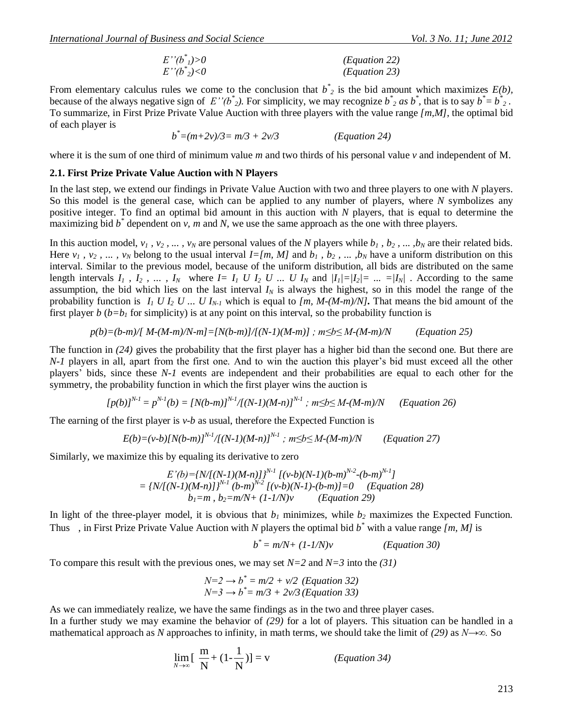$$
E''(b_{1}^{*})>0
$$
 (Equation 22)  

$$
E''(b_{2}^{*})<0
$$
 (Equation 23)

From elementary calculus rules we come to the conclusion that  $b^*$ <sub>2</sub> is the bid amount which maximizes  $E(b)$ , because of the always negative sign of  $E''(b^*_{2})$ . For simplicity, we may recognize  $b^*_{2}$  as  $b^*$ , that is to say  $b^* = b^*_{2}$ . To summarize, in First Prize Private Value Auction with three players with the value range *[m,M]*, the optimal bid of each player is

 $b^* = (m+2v)/3 = m/3 + 2v/3$  *(Equation 24)* 

where it is the sum of one third of minimum value *m* and two thirds of his personal value *v* and independent of M.

#### **2.1. First Prize Private Value Auction with N Players**

In the last step, we extend our findings in Private Value Auction with two and three players to one with *N* players. So this model is the general case, which can be applied to any number of players, where *N* symbolizes any positive integer. To find an optimal bid amount in this auction with *N* players, that is equal to determine the maximizing bid  $b^*$  dependent on *v, m* and *N*, we use the same approach as the one with three players.

In this auction model,  $v_1$ ,  $v_2$ , ...,  $v_N$  are personal values of the *N* players while  $b_1$ ,  $b_2$ , ...,  $b_N$  are their related bids. Here  $v_1$ ,  $v_2$ , ...,  $v_N$  belong to the usual interval  $I=[m, M]$  and  $b_1$ ,  $b_2$ , ...,  $b_N$  have a uniform distribution on this interval. Similar to the previous model, because of the uniform distribution, all bids are distributed on the same length intervals  $I_1$ ,  $I_2$ , ...,  $I_N$  where  $I = I_1 \cup I_2 \cup ... \cup I_N$  and  $|I_1|=|I_2|=...=|I_N|$ . According to the same assumption, the bid which lies on the last interval  $I_N$  is always the highest, so in this model the range of the probability function is  $I_1 U I_2 U ... U I_{N-1}$  which is equal to  $[m, M-(M-m)/N]$ *.* That means the bid amount of the first player  $b$  ( $b=b<sub>I</sub>$  for simplicity) is at any point on this interval, so the probability function is

$$
p(b)=(b-m)/[M-(M-m)/N-m]=[N(b-m)]/[(N-1)(M-m)]
$$
;  $m \le b \le M-(M-m)/N$  (*Equation 25*)

The function in *(24)* gives the probability that the first player has a higher bid than the second one. But there are *N-1* players in all, apart from the first one. And to win the auction this player's bid must exceed all the other players' bids, since these *N-1* events are independent and their probabilities are equal to each other for the symmetry, the probability function in which the first player wins the auction is

$$
[p(b)]^{N-1} = p^{N-1}(b) = [N(b-m)]^{N-1}/[(N-1)(M-n)]^{N-1}; m \le b \le M-(M-m)/N \quad (Equation 26)
$$

The earning of the first player is *v-b* as usual, therefore the Expected Function is

$$
E(b)=(v-b)[N(b-m)]^{N-1}/[(N-1)(M-n)]^{N-1}
$$
;  $m \le b \le M-(M-m)/N$  (Equation 27)

Similarly, we maximize this by equaling its derivative to zero

$$
E'(b) = \{N/[(N-1)(M-n)]\}^{N-1} \{(\nu-b)(N-1)(b-m)^{N-2}-(b-m)^{N-1}\}\
$$
  
=  $\{N/[(N-1)(M-n)]\}^{N-1} (b-m)^{N-2} \{(\nu-b)(N-1)-(b-m)\}=0$  (Equation 28)  
 $b_1=m, b_2=m/N+(1-1/N)\nu$  (Equation 29)

In light of the three-player model, it is obvious that  $b<sub>1</sub>$  minimizes, while  $b<sub>2</sub>$  maximizes the Expected Function. Thus , in First Prize Private Value Auction with *N* players the optimal bid *b \** with a value range *[m, M]* is

$$
b^* = m/N + (1 - 1/N)v
$$
 (Equation 30)

To compare this result with the previous ones, we may set *N=2* and *N=3* into the *(31)*

$$
N=2 \rightarrow b^* = m/2 + v/2
$$
 (Equation 32)  

$$
N=3 \rightarrow b^* = m/3 + 2v/3
$$
 (Equation 33)

As we can immediately realize, we have the same findings as in the two and three player cases. In a further study we may examine the behavior of *(29)* for a lot of players. This situation can be handled in a mathematical approach as *N* approaches to infinity, in math terms, we should take the limit of  $(29)$  as  $N\rightarrow\infty$ . So

$$
\lim_{N \to \infty} \left[ \frac{m}{N} + (1 - \frac{1}{N}) \right] = v
$$
 (*Equation 34*)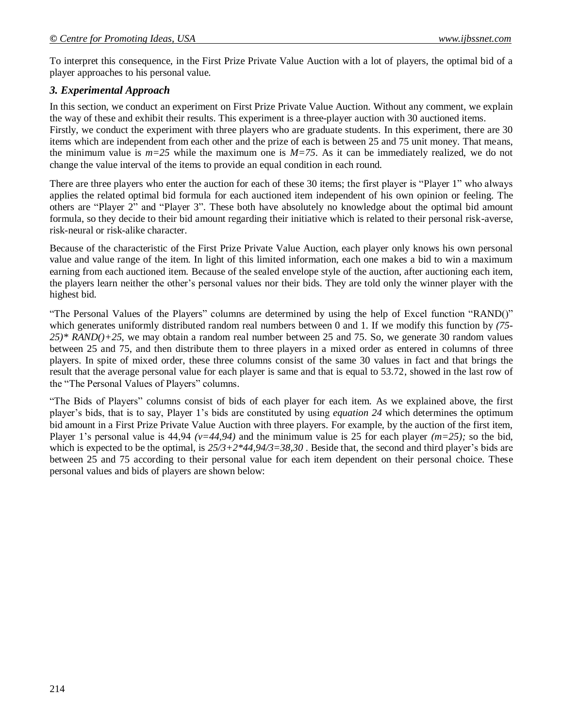To interpret this consequence, in the First Prize Private Value Auction with a lot of players, the optimal bid of a player approaches to his personal value.

# *3. Experimental Approach*

In this section, we conduct an experiment on First Prize Private Value Auction. Without any comment, we explain the way of these and exhibit their results. This experiment is a three-player auction with 30 auctioned items. Firstly, we conduct the experiment with three players who are graduate students. In this experiment, there are 30 items which are independent from each other and the prize of each is between 25 and 75 unit money. That means, the minimum value is  $m=25$  while the maximum one is  $M=75$ . As it can be immediately realized, we do not change the value interval of the items to provide an equal condition in each round.

There are three players who enter the auction for each of these 30 items; the first player is "Player 1" who always applies the related optimal bid formula for each auctioned item independent of his own opinion or feeling. The others are "Player 2" and "Player 3". These both have absolutely no knowledge about the optimal bid amount formula, so they decide to their bid amount regarding their initiative which is related to their personal risk-averse, risk-neural or risk-alike character.

Because of the characteristic of the First Prize Private Value Auction, each player only knows his own personal value and value range of the item. In light of this limited information, each one makes a bid to win a maximum earning from each auctioned item. Because of the sealed envelope style of the auction, after auctioning each item, the players learn neither the other's personal values nor their bids. They are told only the winner player with the highest bid.

"The Personal Values of the Players" columns are determined by using the help of Excel function "RAND()" which generates uniformly distributed random real numbers between 0 and 1. If we modify this function by *(75- 25)\* RAND()+25*, we may obtain a random real number between 25 and 75. So, we generate 30 random values between 25 and 75, and then distribute them to three players in a mixed order as entered in columns of three players. In spite of mixed order, these three columns consist of the same 30 values in fact and that brings the result that the average personal value for each player is same and that is equal to 53.72, showed in the last row of the "The Personal Values of Players" columns.

―The Bids of Players‖ columns consist of bids of each player for each item. As we explained above, the first player's bids, that is to say, Player 1's bids are constituted by using *equation 24* which determines the optimum bid amount in a First Prize Private Value Auction with three players. For example, by the auction of the first item, Player 1's personal value is 44,94 *(v=44,94)* and the minimum value is 25 for each player *(m=25);* so the bid, which is expected to be the optimal, is  $25/3+2*44,94/3=38,30$ . Beside that, the second and third player's bids are between 25 and 75 according to their personal value for each item dependent on their personal choice. These personal values and bids of players are shown below: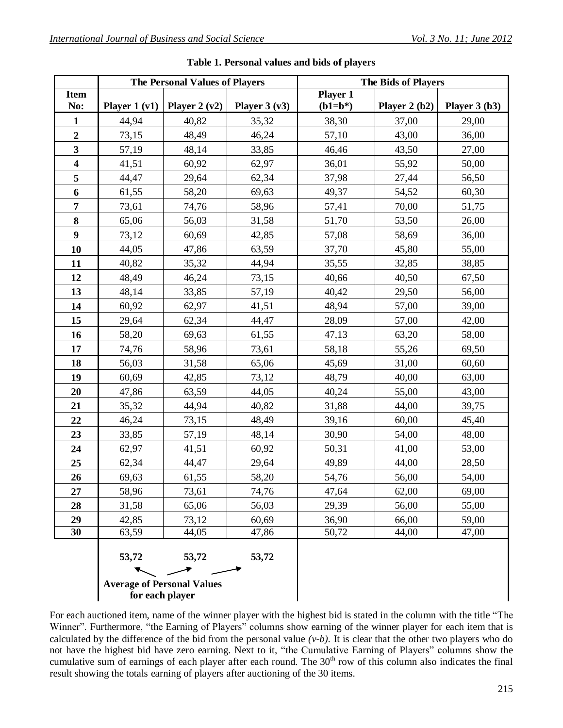|                         |                                                      | <b>The Personal Values of Players</b> |                | <b>The Bids of Players</b> |                |                |  |
|-------------------------|------------------------------------------------------|---------------------------------------|----------------|----------------------------|----------------|----------------|--|
| <b>Item</b>             |                                                      |                                       |                | <b>Player 1</b>            |                |                |  |
| No:                     | Player $1 (v1)$                                      | Player $2(v2)$                        | Player $3(v3)$ | $(b1=b*)$                  | Player $2(b2)$ | Player $3(b3)$ |  |
| $\mathbf{1}$            | 44,94                                                | 40,82                                 | 35,32          | 38,30                      | 37,00          | 29,00          |  |
| $\overline{2}$          | 73,15                                                | 48,49                                 | 46,24          | 57,10                      | 43,00          | 36,00          |  |
| 3                       | 57,19                                                | 48,14                                 | 33,85          | 46,46                      | 43,50          | 27,00          |  |
| $\overline{\mathbf{4}}$ | 41,51                                                | 60,92                                 | 62,97          | 36,01                      | 55,92          | 50,00          |  |
| 5                       | 44,47                                                | 29,64                                 | 62,34          | 37,98                      | 27,44          | 56,50          |  |
| 6                       | 61,55                                                | 58,20                                 | 69,63          | 49,37                      | 54,52          | 60,30          |  |
| 7                       | 73,61                                                | 74,76                                 | 58,96          | 57,41                      | 70,00          | 51,75          |  |
| 8                       | 65,06                                                | 56,03                                 | 31,58          | 51,70                      | 53,50          | 26,00          |  |
| 9                       | 73,12                                                | 60,69                                 | 42,85          | 57,08                      | 58,69          | 36,00          |  |
| 10                      | 44,05                                                | 47,86                                 | 63,59          | 37,70                      | 45,80          | 55,00          |  |
| 11                      | 40,82                                                | 35,32                                 | 44,94          | 35,55                      | 32,85          | 38,85          |  |
| 12                      | 48,49                                                | 46,24                                 | 73,15          | 40,66                      | 40,50          | 67,50          |  |
| 13                      | 48,14                                                | 33,85                                 | 57,19          | 40,42                      | 29,50          | 56,00          |  |
| 14                      | 60,92                                                | 62,97                                 | 41,51          | 48,94                      | 57,00          | 39,00          |  |
| 15                      | 29,64                                                | 62,34                                 | 44,47          | 28,09                      | 57,00          | 42,00          |  |
| 16                      | 58,20                                                | 69,63                                 | 61,55          | 47,13                      | 63,20          | 58,00          |  |
| 17                      | 74,76                                                | 58,96                                 | 73,61          | 58,18                      | 55,26          | 69,50          |  |
| 18                      | 56,03                                                | 31,58                                 | 65,06          | 45,69                      | 31,00          | 60,60          |  |
| 19                      | 60,69                                                | 42,85                                 | 73,12          | 48,79                      | 40,00          | 63,00          |  |
| 20                      | 47,86                                                | 63,59                                 | 44,05          | 40,24                      | 55,00          | 43,00          |  |
| 21                      | 35,32                                                | 44,94                                 | 40,82          | 31,88                      | 44,00          | 39,75          |  |
| 22                      | 46,24                                                | 73,15                                 | 48,49          | 39,16                      | 60,00          | 45,40          |  |
| 23                      | 33,85                                                | 57,19                                 | 48,14          | 30,90                      | 54,00          | 48,00          |  |
| 24                      | 62,97                                                | 41,51                                 | 60,92          | 50,31                      | 41,00          | 53,00          |  |
| 25                      | 62,34                                                | 44,47                                 | 29,64          | 49,89                      | 44,00          | 28,50          |  |
| 26                      | 69,63                                                | 61,55                                 | 58,20          | 54,76                      | 56,00          | 54,00          |  |
| 27                      | 58,96                                                | 73,61                                 | 74,76          | 47,64                      | 62,00          | 69,00          |  |
| 28                      | 31,58                                                | 65,06                                 | 56,03          | 29,39                      | 56,00          | 55,00          |  |
| 29                      | 42,85                                                | 73,12                                 | 60,69          | 36,90                      | 66,00          | 59,00          |  |
| 30                      | 63,59                                                | 44,05                                 | 47,86          | 50,72                      | 44,00          | 47,00          |  |
|                         | 53,72                                                | 53,72                                 | 53,72          |                            |                |                |  |
|                         |                                                      |                                       |                |                            |                |                |  |
|                         | <b>Average of Personal Values</b><br>for each player |                                       |                |                            |                |                |  |

#### **Table 1. Personal values and bids of players**

For each auctioned item, name of the winner player with the highest bid is stated in the column with the title "The Winner". Furthermore, "the Earning of Players" columns show earning of the winner player for each item that is calculated by the difference of the bid from the personal value  $(v-b)$ . It is clear that the other two players who do not have the highest bid have zero earning. Next to it, "the Cumulative Earning of Players" columns show the cumulative sum of earnings of each player after each round. The  $30<sup>th</sup>$  row of this column also indicates the final result showing the totals earning of players after auctioning of the 30 items.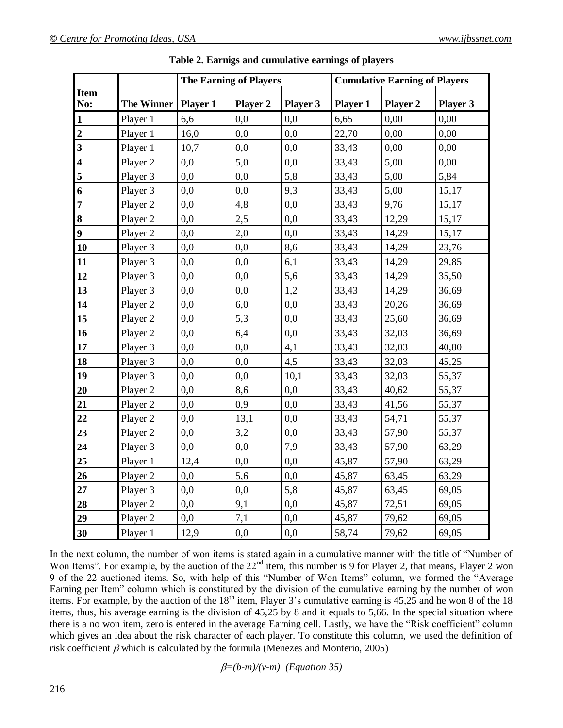|                         |                   | <b>The Earning of Players</b> |                 |          | <b>Cumulative Earning of Players</b> |                 |          |  |
|-------------------------|-------------------|-------------------------------|-----------------|----------|--------------------------------------|-----------------|----------|--|
| <b>Item</b><br>No:      | <b>The Winner</b> | <b>Player 1</b>               | <b>Player 2</b> | Player 3 | <b>Player 1</b>                      | <b>Player 2</b> | Player 3 |  |
| $\mathbf{1}$            | Player 1          | 6,6                           | 0,0             | 0,0      | 6,65                                 | 0,00            | 0,00     |  |
| $\overline{2}$          | Player 1          | 16,0                          | 0,0             | 0,0      | 22,70                                | 0,00            | 0,00     |  |
|                         | Player 1          | 10,7                          | 0,0             | 0,0      | 33,43                                | 0,00            | 0,00     |  |
| $\overline{\mathbf{4}}$ | Player 2          | 0,0                           | 5,0             | 0,0      | 33,43                                | 5,00            | 0,00     |  |
| 5                       | Player 3          | 0,0                           | 0,0             | 5,8      | 33,43                                | 5,00            | 5,84     |  |
| $\overline{\mathbf{6}}$ | Player 3          | 0,0                           | 0,0             | 9,3      | 33,43                                | 5,00            | 15,17    |  |
| $\overline{\mathbf{7}}$ | Player 2          | 0,0                           | 4,8             | 0,0      | 33,43                                | 9,76            | 15,17    |  |
| 8                       | Player 2          | 0,0                           | 2,5             | 0,0      | 33,43                                | 12,29           | 15,17    |  |
| $\overline{9}$          | Player 2          | 0,0                           | 2,0             | 0,0      | 33,43                                | 14,29           | 15,17    |  |
| 10                      | Player 3          | 0,0                           | 0,0             | 8,6      | 33,43                                | 14,29           | 23,76    |  |
| 11                      | Player 3          | 0,0                           | 0,0             | 6,1      | 33,43                                | 14,29           | 29,85    |  |
| 12                      | Player 3          | 0,0                           | 0,0             | 5,6      | 33,43                                | 14,29           | 35,50    |  |
| 13                      | Player 3          | 0,0                           | 0,0             | 1,2      | 33,43                                | 14,29           | 36,69    |  |
| 14                      | Player 2          | 0,0                           | 6,0             | 0,0      | 33,43                                | 20,26           | 36,69    |  |
| 15                      | Player 2          | 0,0                           | 5,3             | 0,0      | 33,43                                | 25,60           | 36,69    |  |
| 16                      | Player 2          | 0,0                           | 6,4             | 0,0      | 33,43                                | 32,03           | 36,69    |  |
| 17                      | Player 3          | 0,0                           | 0,0             | 4,1      | 33,43                                | 32,03           | 40,80    |  |
| 18                      | Player 3          | 0,0                           | 0,0             | 4,5      | 33,43                                | 32,03           | 45,25    |  |
| 19                      | Player 3          | 0,0                           | 0,0             | 10,1     | 33,43                                | 32,03           | 55,37    |  |
| 20                      | Player 2          | 0,0                           | 8,6             | 0,0      | 33,43                                | 40,62           | 55,37    |  |
| 21                      | Player 2          | 0,0                           | 0,9             | 0,0      | 33,43                                | 41,56           | 55,37    |  |
| 22                      | Player 2          | 0,0                           | 13,1            | 0,0      | 33,43                                | 54,71           | 55,37    |  |
| 23                      | Player 2          | 0,0                           | 3,2             | 0,0      | 33,43                                | 57,90           | 55,37    |  |
| 24                      | Player 3          | 0,0                           | 0,0             | 7,9      | 33,43                                | 57,90           | 63,29    |  |
| 25                      | Player 1          | 12,4                          | 0,0             | 0,0      | 45,87                                | 57,90           | 63,29    |  |
| 26                      | Player 2          | 0,0                           | 5,6             | 0,0      | 45,87                                | 63,45           | 63,29    |  |
| 27                      | Player 3          | 0,0                           | 0,0             | 5,8      | 45,87                                | 63,45           | 69,05    |  |
| 28                      | Player 2          | 0,0                           | 9,1             | 0,0      | 45,87                                | 72,51           | 69,05    |  |
| 29                      | Player 2          | 0,0                           | 7,1             | 0,0      | 45,87                                | 79,62           | 69,05    |  |
| 30                      | Player 1          | 12,9                          | 0,0             | 0,0      | 58,74                                | 79,62           | 69,05    |  |

|  | Table 2. Earnigs and cumulative earnings of players |  |
|--|-----------------------------------------------------|--|

In the next column, the number of won items is stated again in a cumulative manner with the title of "Number of Won Items". For example, by the auction of the  $22<sup>nd</sup>$  item, this number is 9 for Player 2, that means, Player 2 won 9 of the 22 auctioned items. So, with help of this "Number of Won Items" column, we formed the "Average" Earning per Item" column which is constituted by the division of the cumulative earning by the number of won items. For example, by the auction of the  $18<sup>th</sup>$  item, Player 3's cumulative earning is 45,25 and he won 8 of the 18 items, thus, his average earning is the division of 45,25 by 8 and it equals to 5,66. In the special situation where there is a no won item, zero is entered in the average Earning cell. Lastly, we have the "Risk coefficient" column which gives an idea about the risk character of each player. To constitute this column, we used the definition of risk coefficient  $\beta$  which is calculated by the formula (Menezes and Monterio, 2005)

*=(b-m)/(v-m) (Equation 35)*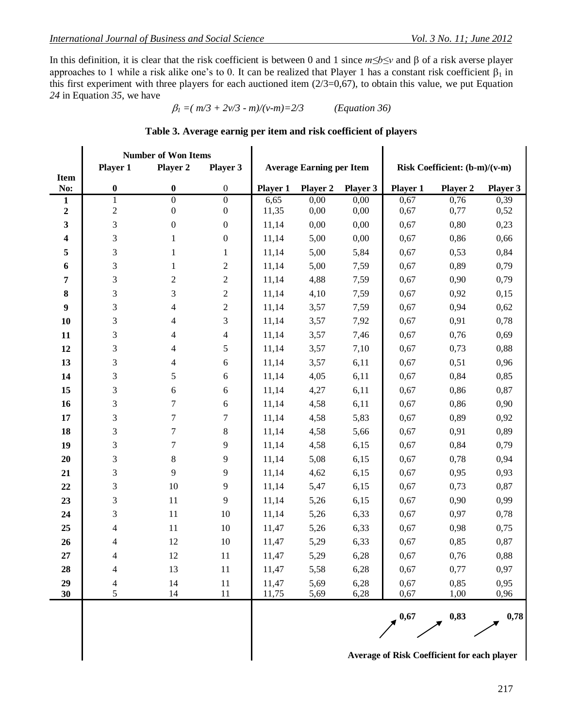In this definition, it is clear that the risk coefficient is between 0 and 1 since *m≤b≤v* and β of a risk averse player approaches to 1 while a risk alike one's to 0. It can be realized that Player 1 has a constant risk coefficient  $\beta_1$  in this first experiment with three players for each auctioned item  $(2/3=0.67)$ , to obtain this value, we put Equation in Equation *35*, we have

$$
\beta_1 = (m/3 + 2v/3 - m)/(v-m) = 2/3
$$
 (*Equation 36*)

### **Table 3. Average earnig per item and risk coefficient of players**

|              | <b>Number of Won Items</b> |                          |                  |          |                                 |          |                                      |                               |          |  |
|--------------|----------------------------|--------------------------|------------------|----------|---------------------------------|----------|--------------------------------------|-------------------------------|----------|--|
| <b>Item</b>  | Player 1                   | Player 2                 | Player 3         |          | <b>Average Earning per Item</b> |          |                                      | Risk Coefficient: (b-m)/(v-m) |          |  |
| No:          | $\bf{0}$                   | $\bf{0}$                 | $\boldsymbol{0}$ | Player 1 | Player 2                        | Player 3 | <b>Player 1</b>                      | Player 2                      | Player 3 |  |
| 1            | $\mathbf{1}$               | $\mathbf{0}$             | $\boldsymbol{0}$ | 6,65     | 0,00                            | 0,00     | 0,67                                 | 0,76                          | 0,39     |  |
| $\mathbf{2}$ | $\overline{c}$             | $\boldsymbol{0}$         | $\boldsymbol{0}$ | 11,35    | 0,00                            | 0,00     | 0,67                                 | 0,77                          | 0,52     |  |
| 3            | 3                          | $\boldsymbol{0}$         | $\boldsymbol{0}$ | 11,14    | 0,00                            | 0,00     | 0,67                                 | 0,80                          | 0,23     |  |
| 4            | 3                          | 1                        | $\boldsymbol{0}$ | 11,14    | 5,00                            | 0,00     | 0,67                                 | 0,86                          | 0,66     |  |
| 5            | 3                          | 1                        | $\mathbf{1}$     | 11,14    | 5,00                            | 5,84     | 0,67                                 | 0,53                          | 0,84     |  |
| 6            | 3                          | 1                        | $\sqrt{2}$       | 11,14    | 5,00                            | 7,59     | 0,67                                 | 0,89                          | 0,79     |  |
| 7            | 3                          | $\mathfrak 2$            | $\sqrt{2}$       | 11,14    | 4,88                            | 7,59     | 0,67                                 | 0,90                          | 0,79     |  |
| 8            | 3                          | 3                        | $\sqrt{2}$       | 11,14    | 4,10                            | 7,59     | 0,67                                 | 0,92                          | 0,15     |  |
| 9            | 3                          | $\overline{\mathcal{A}}$ | $\sqrt{2}$       | 11,14    | 3,57                            | 7,59     | 0,67                                 | 0,94                          | 0,62     |  |
| 10           | 3                          | 4                        | 3                | 11,14    | 3,57                            | 7,92     | 0,67                                 | 0,91                          | 0,78     |  |
| 11           | 3                          | 4                        | $\overline{4}$   | 11,14    | 3,57                            | 7,46     | 0,67                                 | 0,76                          | 0,69     |  |
| 12           | 3                          | 4                        | 5                | 11,14    | 3,57                            | 7,10     | 0,67                                 | 0,73                          | 0,88     |  |
| 13           | 3                          | $\overline{\mathcal{A}}$ | $\sqrt{6}$       | 11,14    | 3,57                            | 6,11     | 0,67                                 | 0,51                          | 0,96     |  |
| 14           | 3                          | 5                        | 6                | 11,14    | 4,05                            | 6,11     | 0,67                                 | 0,84                          | 0,85     |  |
| 15           | 3                          | 6                        | $\sqrt{6}$       | 11,14    | 4,27                            | 6,11     | 0,67                                 | 0,86                          | 0,87     |  |
| 16           | 3                          | $\tau$                   | 6                | 11,14    | 4,58                            | 6,11     | 0,67                                 | 0,86                          | 0,90     |  |
| 17           | 3                          | $\tau$                   | $\boldsymbol{7}$ | 11,14    | 4,58                            | 5,83     | 0,67                                 | 0,89                          | 0,92     |  |
| 18           | 3                          | $\tau$                   | $8\,$            | 11,14    | 4,58                            | 5,66     | 0,67                                 | 0,91                          | 0,89     |  |
| 19           | 3                          | 7                        | 9                | 11,14    | 4,58                            | 6,15     | 0,67                                 | 0,84                          | 0,79     |  |
| 20           | 3                          | $8\,$                    | 9                | 11,14    | 5,08                            | 6,15     | 0,67                                 | 0,78                          | 0,94     |  |
| 21           | 3                          | 9                        | 9                | 11,14    | 4,62                            | 6,15     | 0,67                                 | 0,95                          | 0,93     |  |
| 22           | 3                          | 10                       | 9                | 11,14    | 5,47                            | 6,15     | 0,67                                 | 0,73                          | 0,87     |  |
| 23           | 3                          | 11                       | 9                | 11,14    | 5,26                            | 6,15     | 0,67                                 | 0,90                          | 0,99     |  |
| 24           | 3                          | 11                       | 10               | 11,14    | 5,26                            | 6,33     | 0,67                                 | 0,97                          | 0,78     |  |
| 25           | 4                          | 11                       | 10               | 11,47    | 5,26                            | 6,33     | 0,67                                 | 0,98                          | 0,75     |  |
| 26           | 4                          | 12                       | 10               | 11,47    | 5,29                            | 6,33     | 0,67                                 | 0,85                          | 0,87     |  |
| 27           | 4                          | 12                       | $11\,$           | 11,47    | 5,29                            | 6,28     | 0,67                                 | 0,76                          | 0,88     |  |
| 28           | 4                          | 13                       | $11\,$           | 11,47    | 5,58                            | 6,28     | 0,67                                 | 0,77                          | 0,97     |  |
| 29           | 4                          | 14                       | $11\,$           | 11,47    | 5,69                            | 6,28     | 0,67                                 | 0,85                          | 0,95     |  |
| 30           | 5                          | 14                       | $11\,$           | 11,75    | 5,69                            | 6,28     | 0,67                                 | 1,00                          | 0,96     |  |
|              |                            |                          |                  |          |                                 |          | $\blacktriangledown$ <sup>0,67</sup> | 0,83                          | 0,78     |  |

**Average of Risk Coefficient for each player**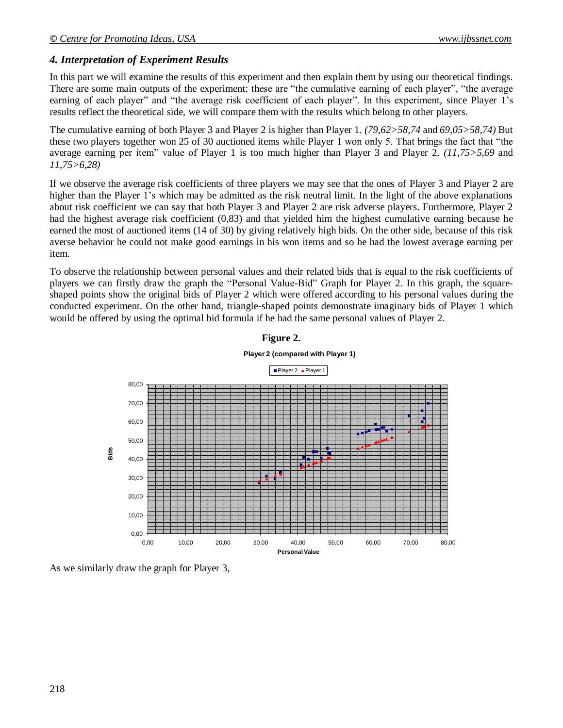# *4. Interpretation of Experiment Results*

In this part we will examine the results of this experiment and then explain them by using our theoretical findings. There are some main outputs of the experiment; these are "the cumulative earning of each player", "the average earning of each player" and "the average risk coefficient of each player". In this experiment, since Player 1's results reflect the theoretical side, we will compare them with the results which belong to other players.

The cumulative earning of both Player 3 and Player 2 is higher than Player 1. *(79,62>58,74* and *69,05>58,74)* But these two players together won 25 of 30 auctioned items while Player 1 won only 5. That brings the fact that "the average earning per item" value of Player 1 is too much higher than Player 3 and Player 2*. (11,75>5,69* and *11,75>6,28)* 

If we observe the average risk coefficients of three players we may see that the ones of Player 3 and Player 2 are higher than the Player 1's which may be admitted as the risk neutral limit. In the light of the above explanations about risk coefficient we can say that both Player 3 and Player 2 are risk adverse players. Furthermore, Player 2 had the highest average risk coefficient (0,83) and that yielded him the highest cumulative earning because he earned the most of auctioned items (14 of 30) by giving relatively high bids. On the other side, because of this risk averse behavior he could not make good earnings in his won items and so he had the lowest average earning per item.

To observe the relationship between personal values and their related bids that is equal to the risk coefficients of players we can firstly draw the graph the "Personal Value-Bid" Graph for Player 2. In this graph, the squareshaped points show the original bids of Player 2 which were offered according to his personal values during the conducted experiment. On the other hand, triangle-shaped points demonstrate imaginary bids of Player 1 which would be offered by using the optimal bid formula if he had the same personal values of Player 2.

### **Figure 2.**

#### **Player 2 (compared with Player 1)**



As we similarly draw the graph for Player 3,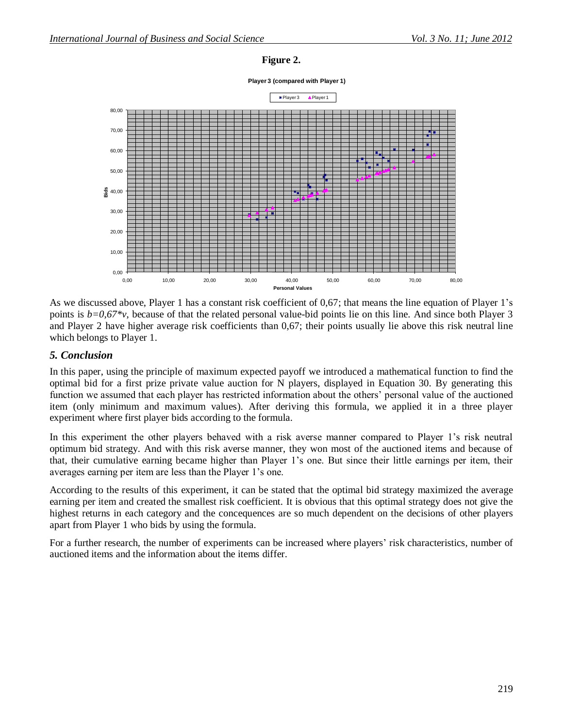#### **Figure 2.**

**Player 3 (compared with Player 1)**



As we discussed above, Player 1 has a constant risk coefficient of 0,67; that means the line equation of Player 1's points is *b=0,67\*v*, because of that the related personal value-bid points lie on this line. And since both Player 3 and Player 2 have higher average risk coefficients than 0,67; their points usually lie above this risk neutral line which belongs to Player 1.

### *5. Conclusion*

In this paper, using the principle of maximum expected payoff we introduced a mathematical function to find the optimal bid for a first prize private value auction for N players, displayed in Equation 30. By generating this function we assumed that each player has restricted information about the others' personal value of the auctioned item (only minimum and maximum values). After deriving this formula, we applied it in a three player experiment where first player bids according to the formula.

In this experiment the other players behaved with a risk averse manner compared to Player 1's risk neutral optimum bid strategy. And with this risk averse manner, they won most of the auctioned items and because of that, their cumulative earning became higher than Player 1's one. But since their little earnings per item, their averages earning per item are less than the Player 1's one.

According to the results of this experiment, it can be stated that the optimal bid strategy maximized the average earning per item and created the smallest risk coefficient. It is obvious that this optimal strategy does not give the highest returns in each category and the concequences are so much dependent on the decisions of other players apart from Player 1 who bids by using the formula.

For a further research, the number of experiments can be increased where players' risk characteristics, number of auctioned items and the information about the items differ.